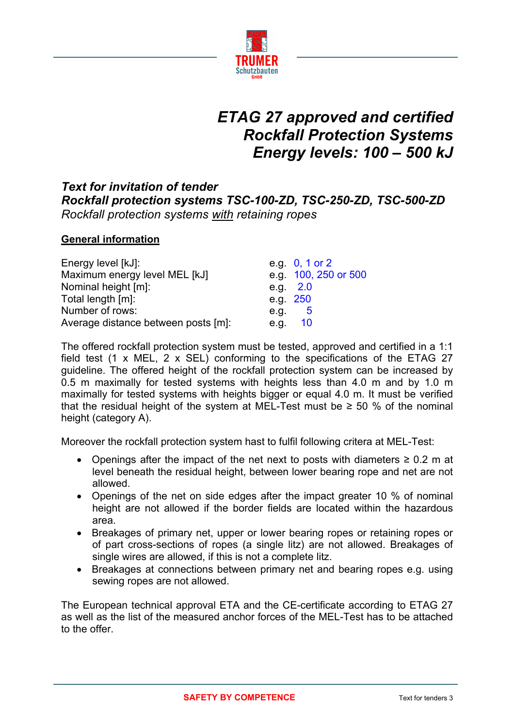

# *ETAG 27 approved and certified Rockfall Protection Systems Energy levels: 100 – 500 kJ*

## *Text for invitation of tender Rockfall protection systems TSC-100-ZD, TSC-250-ZD, TSC-500-ZD Rockfall protection systems with retaining ropes*

## **General information**

| Energy level [kJ]:                  |          | e.g. $0, 1$ or $2$   |
|-------------------------------------|----------|----------------------|
| Maximum energy level MEL [kJ]       |          | e.g. 100, 250 or 500 |
| Nominal height [m]:                 |          | e.g. $2.0$           |
| Total length [m]:                   | e.g. 250 |                      |
| Number of rows:                     | e.g.     | - 5                  |
| Average distance between posts [m]: |          | e.g. 10              |

The offered rockfall protection system must be tested, approved and certified in a 1:1 field test (1 x MEL, 2 x SEL) conforming to the specifications of the ETAG 27 guideline. The offered height of the rockfall protection system can be increased by 0.5 m maximally for tested systems with heights less than 4.0 m and by 1.0 m maximally for tested systems with heights bigger or equal 4.0 m. It must be verified that the residual height of the system at MEL-Test must be  $\geq$  50 % of the nominal height (category A).

Moreover the rockfall protection system hast to fulfil following critera at MEL-Test:

- Openings after the impact of the net next to posts with diameters  $\geq 0.2$  m at level beneath the residual height, between lower bearing rope and net are not allowed.
- Openings of the net on side edges after the impact greater 10 % of nominal height are not allowed if the border fields are located within the hazardous area.
- Breakages of primary net, upper or lower bearing ropes or retaining ropes or of part cross-sections of ropes (a single litz) are not allowed. Breakages of single wires are allowed, if this is not a complete litz.
- Breakages at connections between primary net and bearing ropes e.g. using sewing ropes are not allowed.

The European technical approval ETA and the CE-certificate according to ETAG 27 as well as the list of the measured anchor forces of the MEL-Test has to be attached to the offer.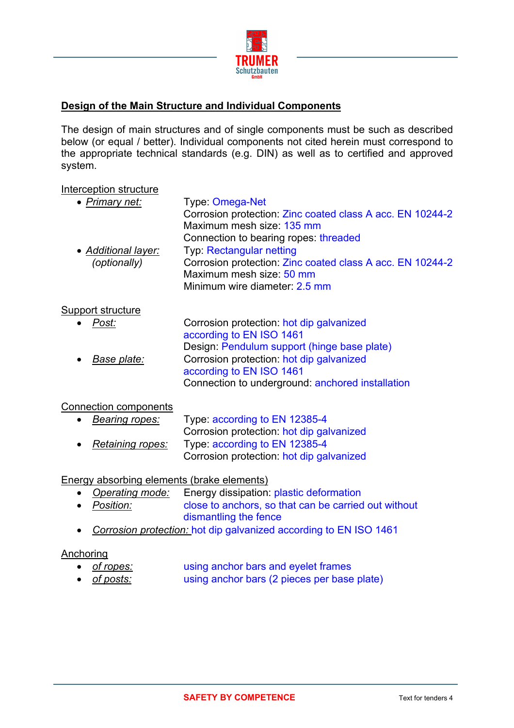

## **Design of the Main Structure and Individual Components**

The design of main structures and of single components must be such as described below (or equal / better). Individual components not cited herein must correspond to the appropriate technical standards (e.g. DIN) as well as to certified and approved system.

#### Interception structure

| • Primary net:      | Type: Omega-Net                                           |
|---------------------|-----------------------------------------------------------|
|                     | Corrosion protection: Zinc coated class A acc. EN 10244-2 |
|                     | Maximum mesh size: 135 mm                                 |
|                     | Connection to bearing ropes threaded                      |
| • Additional layer: | <b>Typ: Rectangular netting</b>                           |
| (optionally)        | Corrosion protection: Zinc coated class A acc. EN 10244-2 |
|                     | Maximum mesh size: 50 mm                                  |
|                     | Minimum wire diameter: 2.5 mm                             |
|                     |                                                           |
| Support structure   |                                                           |
| Post:<br>$\bullet$  | Corrosion protection: hot dip galvanized                  |
|                     | according to EN ISO 1461                                  |
|                     | Design: Pendulum support (hinge base plate)               |
| Base plate:         | Corrosion protection: hot dip galvanized                  |
|                     | according to EN ISO 1461                                  |
|                     | Connection to underground: anchored installation          |

#### Connection components

| $\bullet$ | Bearing ropes:   | Type: according to EN 12385-4            |
|-----------|------------------|------------------------------------------|
|           |                  | Corrosion protection: hot dip galvanized |
| $\bullet$ | Retaining ropes: | Type: according to EN 12385-4            |
|           |                  | Corrosion protection: hot dip galvanized |

#### Energy absorbing elements (brake elements)

- *Operating mode:* Energy dissipation: plastic deformation • *Position:* close to anchors, so that can be carried out without
	- dismantling the fence
- *Corrosion protection:* hot dip galvanized according to EN ISO 1461

#### Anchoring

- *of ropes:* using anchor bars and eyelet frames
- *of posts:* using anchor bars (2 pieces per base plate)